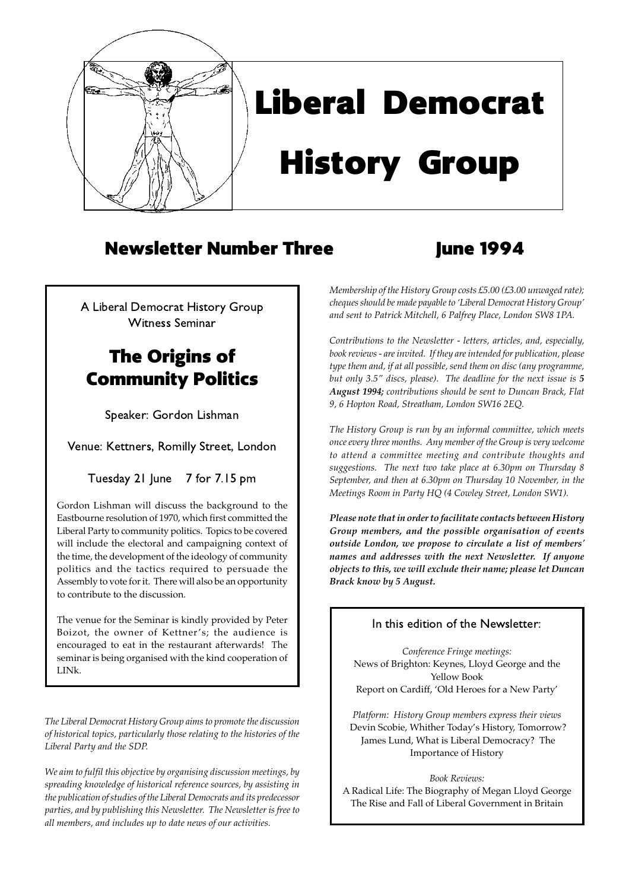

## Liberal Democrat

# History Group

## Newsletter Number Three Three June 1994

A Liberal Democrat History Group Witness Seminar

## The Origins of Community Politics

Speaker: Gordon Lishman

Venue: Kettners, Romilly Street, London

Tuesday 21 June 7 for 7.15 pm

Gordon Lishman will discuss the background to the Eastbourne resolution of 1970, which first committed the Liberal Party to community politics. Topics to be covered will include the electoral and campaigning context of the time, the development of the ideology of community politics and the tactics required to persuade the Assembly to vote for it. There will also be an opportunity to contribute to the discussion.

The venue for the Seminar is kindly provided by Peter Boizot, the owner of Kettner's; the audience is encouraged to eat in the restaurant afterwards! The seminar is being organised with the kind cooperation of LINk.

*The Liberal Democrat History Group aims to promote the discussion of historical topics, particularly those relating to the histories of the Liberal Party and the SDP.*

*We aim to fulfil this objective by organising discussion meetings, by spreading knowledge of historical reference sources, by assisting in the publication of studies of the Liberal Democrats and its predecessor parties, and by publishing this Newsletter. The Newsletter is free to all members, and includes up to date news of our activities.*

*Membership of the History Group costs £5.00 (£3.00 unwaged rate); cheques should be made payable to 'Liberal Democrat History Group' and sent to Patrick Mitchell, 6 Palfrey Place, London SW8 1PA.*

*Contributions to the Newsletter - letters, articles, and, especially, book reviews - are invited. If they are intended for publication, please type them and, if at all possible, send them on disc (any programme, but only 3.5" discs, please). The deadline for the next issue is 5 August 1994; contributions should be sent to Duncan Brack, Flat 9, 6 Hopton Road, Streatham, London SW16 2EQ.*

*The History Group is run by an informal committee, which meets once every three months. Any member of the Group is very welcome to attend a committee meeting and contribute thoughts and suggestions. The next two take place at 6.30pm on Thursday 8 September, and then at 6.30pm on Thursday 10 November, in the Meetings Room in Party HQ (4 Cowley Street, London SW1).*

*Please note that in order to facilitate contacts between History Group members, and the possible organisation of events outside London, we propose to circulate a list of members' names and addresses with the next Newsletter. If anyone objects to this, we will exclude their name; please let Duncan Brack know by 5 August.*

#### In this edition of the Newsletter:

*Conference Fringe meetings:* News of Brighton: Keynes, Lloyd George and the Yellow Book Report on Cardiff, 'Old Heroes for a New Party'

*Platform: History Group members express their views* Devin Scobie, Whither Today's History, Tomorrow? James Lund, What is Liberal Democracy? The Importance of History

*Book Reviews:* A Radical Life: The Biography of Megan Lloyd George The Rise and Fall of Liberal Government in Britain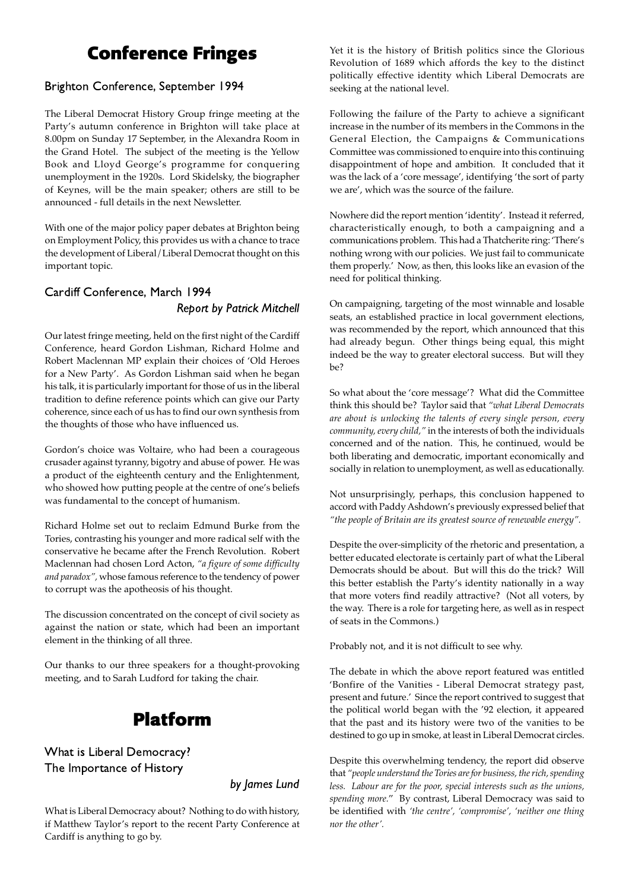## Conference Fringes

#### Brighton Conference, September 1994

The Liberal Democrat History Group fringe meeting at the Party's autumn conference in Brighton will take place at 8.00pm on Sunday 17 September, in the Alexandra Room in the Grand Hotel. The subject of the meeting is the Yellow Book and Lloyd George's programme for conquering unemployment in the 1920s. Lord Skidelsky, the biographer of Keynes, will be the main speaker; others are still to be announced - full details in the next Newsletter.

With one of the major policy paper debates at Brighton being on Employment Policy, this provides us with a chance to trace the development of Liberal/Liberal Democrat thought on this important topic.

#### Cardiff Conference, March 1994 Report by Patrick Mitchell

Our latest fringe meeting, held on the first night of the Cardiff Conference, heard Gordon Lishman, Richard Holme and Robert Maclennan MP explain their choices of 'Old Heroes for a New Party'. As Gordon Lishman said when he began his talk, it is particularly important for those of us in the liberal tradition to define reference points which can give our Party coherence, since each of us has to find our own synthesis from the thoughts of those who have influenced us.

Gordon's choice was Voltaire, who had been a courageous crusader against tyranny, bigotry and abuse of power. He was a product of the eighteenth century and the Enlightenment, who showed how putting people at the centre of one's beliefs was fundamental to the concept of humanism.

Richard Holme set out to reclaim Edmund Burke from the Tories, contrasting his younger and more radical self with the conservative he became after the French Revolution. Robert Maclennan had chosen Lord Acton, *"a figure of some difficulty and paradox",* whose famous reference to the tendency of power to corrupt was the apotheosis of his thought.

The discussion concentrated on the concept of civil society as against the nation or state, which had been an important element in the thinking of all three.

Our thanks to our three speakers for a thought-provoking meeting, and to Sarah Ludford for taking the chair.

## Platform

What is Liberal Democracy? The Importance of History

by James Lund

What is Liberal Democracy about? Nothing to do with history, if Matthew Taylor's report to the recent Party Conference at Cardiff is anything to go by.

Yet it is the history of British politics since the Glorious Revolution of 1689 which affords the key to the distinct politically effective identity which Liberal Democrats are seeking at the national level.

Following the failure of the Party to achieve a significant increase in the number of its members in the Commons in the General Election, the Campaigns & Communications Committee was commissioned to enquire into this continuing disappointment of hope and ambition. It concluded that it was the lack of a 'core message', identifying 'the sort of party we are', which was the source of the failure.

Nowhere did the report mention 'identity'. Instead it referred, characteristically enough, to both a campaigning and a communications problem. This had a Thatcherite ring: 'There's nothing wrong with our policies. We just fail to communicate them properly.' Now, as then, this looks like an evasion of the need for political thinking.

On campaigning, targeting of the most winnable and losable seats, an established practice in local government elections, was recommended by the report, which announced that this had already begun. Other things being equal, this might indeed be the way to greater electoral success. But will they be?

So what about the 'core message'? What did the Committee think this should be? Taylor said that *"what Liberal Democrats are about is unlocking the talents of every single person, every community, every child,"* in the interests of both the individuals concerned and of the nation. This, he continued, would be both liberating and democratic, important economically and socially in relation to unemployment, as well as educationally.

Not unsurprisingly, perhaps, this conclusion happened to accord with Paddy Ashdown's previously expressed belief that *"the people of Britain are its greatest source of renewable energy".*

Despite the over-simplicity of the rhetoric and presentation, a better educated electorate is certainly part of what the Liberal Democrats should be about. But will this do the trick? Will this better establish the Party's identity nationally in a way that more voters find readily attractive? (Not all voters, by the way. There is a role for targeting here, as well as in respect of seats in the Commons.)

Probably not, and it is not difficult to see why.

The debate in which the above report featured was entitled 'Bonfire of the Vanities - Liberal Democrat strategy past, present and future.' Since the report contrived to suggest that the political world began with the '92 election, it appeared that the past and its history were two of the vanities to be destined to go up in smoke, at least in Liberal Democrat circles.

Despite this overwhelming tendency, the report did observe that *"people understand the Tories are for business, the rich, spending less. Labour are for the poor, special interests such as the unions, spending more.*" By contrast, Liberal Democracy was said to be identified with *'the centre', 'compromise', 'neither one thing nor the other'.*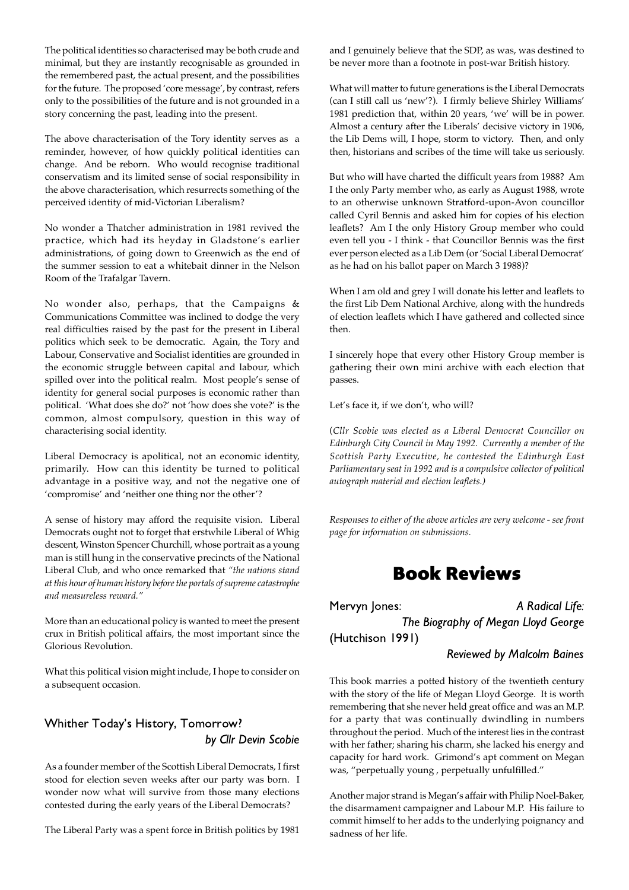The political identities so characterised may be both crude and minimal, but they are instantly recognisable as grounded in the remembered past, the actual present, and the possibilities for the future. The proposed 'core message', by contrast, refers only to the possibilities of the future and is not grounded in a story concerning the past, leading into the present.

The above characterisation of the Tory identity serves as a reminder, however, of how quickly political identities can change. And be reborn. Who would recognise traditional conservatism and its limited sense of social responsibility in the above characterisation, which resurrects something of the perceived identity of mid-Victorian Liberalism?

No wonder a Thatcher administration in 1981 revived the practice, which had its heyday in Gladstone's earlier administrations, of going down to Greenwich as the end of the summer session to eat a whitebait dinner in the Nelson Room of the Trafalgar Tavern.

No wonder also, perhaps, that the Campaigns & Communications Committee was inclined to dodge the very real difficulties raised by the past for the present in Liberal politics which seek to be democratic. Again, the Tory and Labour, Conservative and Socialist identities are grounded in the economic struggle between capital and labour, which spilled over into the political realm. Most people's sense of identity for general social purposes is economic rather than political. 'What does she do?' not 'how does she vote?' is the common, almost compulsory, question in this way of characterising social identity.

Liberal Democracy is apolitical, not an economic identity, primarily. How can this identity be turned to political advantage in a positive way, and not the negative one of 'compromise' and 'neither one thing nor the other'?

A sense of history may afford the requisite vision. Liberal Democrats ought not to forget that erstwhile Liberal of Whig descent, Winston Spencer Churchill, whose portrait as a young man is still hung in the conservative precincts of the National Liberal Club, and who once remarked that *"the nations stand at this hour of human history before the portals of supreme catastrophe and measureless reward."*

More than an educational policy is wanted to meet the present crux in British political affairs, the most important since the Glorious Revolution.

What this political vision might include, I hope to consider on a subsequent occasion.

#### Whither Today's History, Tomorrow? by Cllr Devin Scobie

As a founder member of the Scottish Liberal Democrats, I first stood for election seven weeks after our party was born. I wonder now what will survive from those many elections contested during the early years of the Liberal Democrats?

The Liberal Party was a spent force in British politics by 1981

and I genuinely believe that the SDP, as was, was destined to be never more than a footnote in post-war British history.

What will matter to future generations is the Liberal Democrats (can I still call us 'new'?). I firmly believe Shirley Williams' 1981 prediction that, within 20 years, 'we' will be in power. Almost a century after the Liberals' decisive victory in 1906, the Lib Dems will, I hope, storm to victory. Then, and only then, historians and scribes of the time will take us seriously.

But who will have charted the difficult years from 1988? Am I the only Party member who, as early as August 1988, wrote to an otherwise unknown Stratford-upon-Avon councillor called Cyril Bennis and asked him for copies of his election leaflets? Am I the only History Group member who could even tell you - I think - that Councillor Bennis was the first ever person elected as a Lib Dem (or 'Social Liberal Democrat' as he had on his ballot paper on March 3 1988)?

When I am old and grey I will donate his letter and leaflets to the first Lib Dem National Archive, along with the hundreds of election leaflets which I have gathered and collected since then.

I sincerely hope that every other History Group member is gathering their own mini archive with each election that passes.

Let's face it, if we don't, who will?

(*Cllr Scobie was elected as a Liberal Democrat Councillor on Edinburgh City Council in May 1992. Currently a member of the Scottish Party Executive, he contested the Edinburgh East Parliamentary seat in 1992 and is a compulsive collector of political autograph material and election leaflets.)*

*Responses to either of the above articles are very welcome - see front page for information on submissions.*

### Book Reviews

Mervyn Jones: A Radical Life:

The Biography of Megan Lloyd George (Hutchison 1991)

Reviewed by Malcolm Baines

This book marries a potted history of the twentieth century with the story of the life of Megan Lloyd George. It is worth remembering that she never held great office and was an M.P. for a party that was continually dwindling in numbers throughout the period. Much of the interest lies in the contrast with her father; sharing his charm, she lacked his energy and capacity for hard work. Grimond's apt comment on Megan was, "perpetually young , perpetually unfulfilled."

Another major strand is Megan's affair with Philip Noel-Baker, the disarmament campaigner and Labour M.P. His failure to commit himself to her adds to the underlying poignancy and sadness of her life.